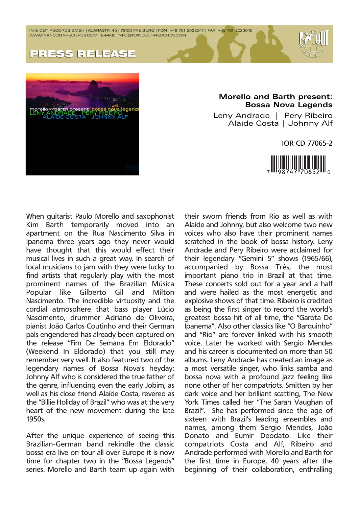IN & OUT RECORDS GMBH | KLARASTR. 45 | 79106 FREIBURG | FON +49 761 2023647 | FAX +49 761 2023648 WWW.INANDOUT-RECORDS.COM | E-MAIL: INFO@INANDOUT-RECORDS.COM





## **Morello and Barth present: Bossa Nova Legends**

Leny Andrade | Pery Ribeiro Alaíde Costa | Johnny Alf

IOR CD 77065-2



When guitarist Paulo Morello and saxophonist Kim Barth temporarily moved into an apartment on the Rua Nascimento Silva in Ipanema three years ago they never would have thought that this would effect their musical lives in such a great way. In search of local musicians to jam with they were lucky to find artists that regularly play with the most prominent names of the Brazilian Música Popular like Gilberto Gil and Milton Nascimento. The incredible virtuosity and the cordial atmosphere that bass player Lúcio Nascimento, drummer Adriano de Oliveira, pianist João Carlos Coutinho and their German pals engendered has already been captured on the release "Fim De Semana Em Eldorado" (Weekend In Eldorado) that you still may remember very well. It also featured two of the legendary names of Bossa Nova's heyday: Johnny Alf who is considered the true father of the genre, influencing even the early Jobim, as well as his close friend Alaíde Costa, revered as the "Billie Holiday of Brazil" who was at the very heart of the new movement during the late 1950s.

After the unique experience of seeing this Brazilian-German band rekindle the classic bossa era live on tour all over Europe it is now time for chapter two in the "Bossa Legends" series. Morello and Barth team up again with their sworn friends from Rio as well as with Alaíde and Johnny, but also welcome two new voices who also have their prominent names scratched in the book of bossa history. Leny Andrade and Pery Ribeiro were acclaimed for their legendary "Gemini 5" shows (1965/66), accompanied by Bossa Três, the most important piano trio in Brazil at that time. These concerts sold out for a year and a half and were hailed as the most energetic and explosive shows of that time. Ribeiro is credited as being the first singer to record the world's greatest bossa hit of all time, the "Garota De Ipanema". Also other classics like "O Barquinho" and "Rio" are forever linked with his smooth voice. Later he worked with Sergio Mendes and his career is documented on more than 50 albums. Leny Andrade has created an image as a most versatile singer, who links samba and bossa nova with a profound jazz feeling like none other of her compatriots. Smitten by her dark voice and her brilliant scatting, The New York Times called her "The Sarah Vaughan of Brazil". She has performed since the age of sixteen with Brazil's leading ensembles and names, among them Sergio Mendes, João Donato and Eumir Deodato. Like their compatriots Costa and Alf, Ribeiro and Andrade performed with Morello and Barth for the first time in Europe, 40 years after the beginning of their collaboration, enthralling